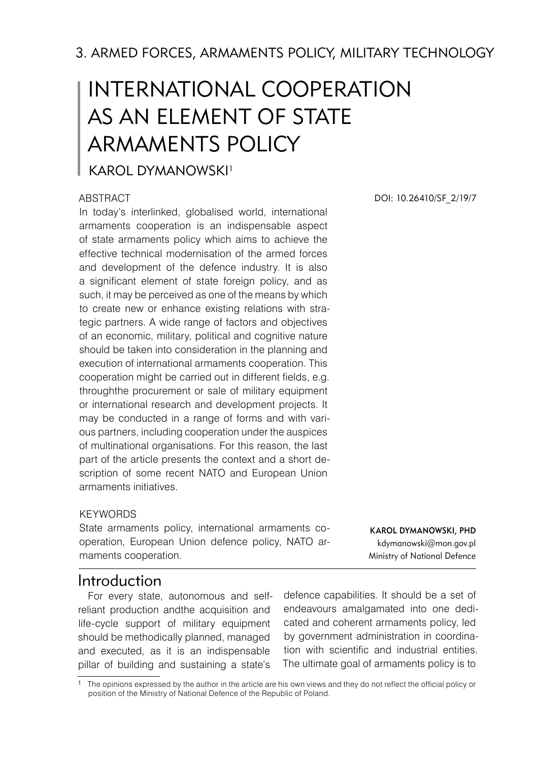3. ARMED FORCES, ARMAMENTS POLICY, MILITARY TECHNOLOGY

# INTERNATIONAL COOPERATION AS AN ELEMENT OF STATE ARMAMENTS POLICY

# KAROL DYMANOWSKI<sup>1</sup>

#### **ABSTRACT**

In today's interlinked, globalised world, international armaments cooperation is an indispensable aspect of state armaments policy which aims to achieve the effective technical modernisation of the armed forces and development of the defence industry. It is also a significant element of state foreign policy, and as such, it may be perceived as one of the means by which to create new or enhance existing relations with strategic partners. A wide range of factors and objectives of an economic, military, political and cognitive nature should be taken into consideration in the planning and execution of international armaments cooperation. This cooperation might be carried out in different fields, e.g. throughthe procurement or sale of military equipment or international research and development projects. It may be conducted in a range of forms and with various partners, including cooperation under the auspices of multinational organisations. For this reason, the last part of the article presents the context and a short description of some recent NATO and European Union armaments initiatives.

#### **KEYWORDS**

State armaments policy, international armaments cooperation, European Union defence policy, NATO armaments cooperation.

Karol DYMANOWSKI, PhD kdymanowski@mon.gov.pl Ministry of National Defence

# Introduction

For every state, autonomous and selfreliant production andthe acquisition and life-cycle support of military equipment should be methodically planned, managed and executed, as it is an indispensable pillar of building and sustaining a state's

defence capabilities. It should be a set of endeavours amalgamated into one dedicated and coherent armaments policy, led by government administration in coordination with scientific and industrial entities. The ultimate goal of armaments policy is to

DOI: 10.26410/SF\_2/19/7

The opinions expressed by the author in the article are his own views and they do not reflect the official policy or position of the Ministry of National Defence of the Republic of Poland.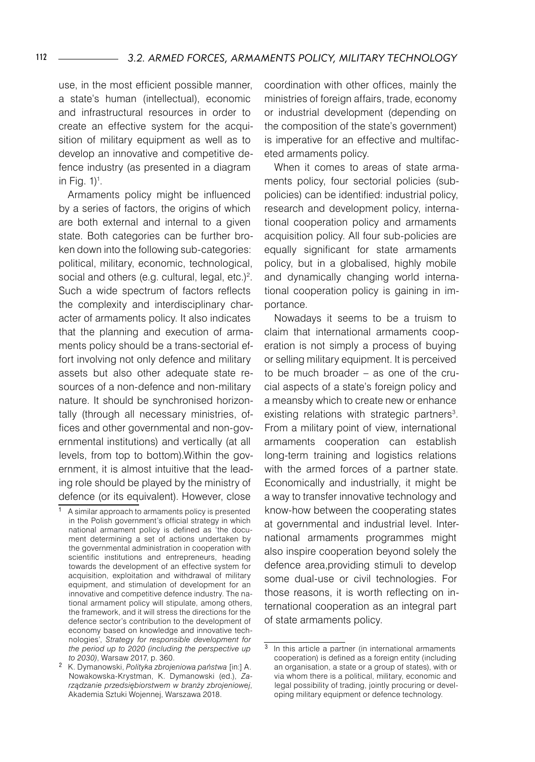use, in the most efficient possible manner, a state's human (intellectual), economic and infrastructural resources in order to create an effective system for the acquisition of military equipment as well as to develop an innovative and competitive defence industry (as presented in a diagram in Fig.  $1$ <sup>1</sup>.

Armaments policy might be influenced by a series of factors, the origins of which are both external and internal to a given state. Both categories can be further broken down into the following sub-categories: political, military, economic, technological, social and others (e.g. cultural, legal, etc.) . Such a wide spectrum of factors reflects the complexity and interdisciplinary character of armaments policy. It also indicates that the planning and execution of armaments policy should be a trans-sectorial effort involving not only defence and military assets but also other adequate state resources of a non-defence and non-military nature. It should be synchronised horizontally (through all necessary ministries, offices and other governmental and non-governmental institutions) and vertically (at all levels, from top to bottom).Within the government, it is almost intuitive that the leading role should be played by the ministry of defence (or its equivalent). However, close

coordination with other offices, mainly the ministries of foreign affairs, trade, economy or industrial development (depending on the composition of the state's government) is imperative for an effective and multifaceted armaments policy.

When it comes to areas of state armaments policy, four sectorial policies (subpolicies) can be identified: industrial policy, research and development policy, international cooperation policy and armaments acquisition policy. All four sub-policies are equally significant for state armaments policy, but in a globalised, highly mobile and dynamically changing world international cooperation policy is gaining in importance.

Nowadays it seems to be a truism to claim that international armaments cooperation is not simply a process of buying or selling military equipment. It is perceived to be much broader – as one of the crucial aspects of a state's foreign policy and a meansby which to create new or enhance existing relations with strategic partners<sup>3</sup>. From a military point of view, international armaments cooperation can establish long-term training and logistics relations with the armed forces of a partner state. Economically and industrially, it might be a way to transfer innovative technology and know-how between the cooperating states at governmental and industrial level. International armaments programmes might also inspire cooperation beyond solely the defence area,providing stimuli to develop some dual-use or civil technologies. For those reasons, it is worth reflecting on international cooperation as an integral part of state armaments policy.

A similar approach to armaments policy is presented in the Polish government's official strategy in which national armament policy is defined as 'the document determining a set of actions undertaken by the governmental administration in cooperation with scientific institutions and entrepreneurs, heading towards the development of an effective system for acquisition, exploitation and withdrawal of military equipment, and stimulation of development for an innovative and competitive defence industry. The national armament policy will stipulate, among others, the framework, and it will stress the directions for the defence sector's contribution to the development of economy based on knowledge and innovative technologies', *Strategy for responsible development for the period up to 2020 (including the perspective up to 2030)*, Warsaw 2017, p. 360.

 K. Dymanowski, *Polityka zbrojeniowa państwa* [in:] A. Nowakowska-Krystman, K. Dymanowski (ed.), *Zarządzanie przedsiębiorstwem w branży zbrojeniowej*, Akademia Sztuki Wojennej, Warszawa 2018.

 $3$  In this article a partner (in international armaments cooperation) is defined as a foreign entity (including an organisation, a state or a group of states), with or via whom there is a political, military, economic and legal possibility of trading, jointly procuring or developing military equipment or defence technology.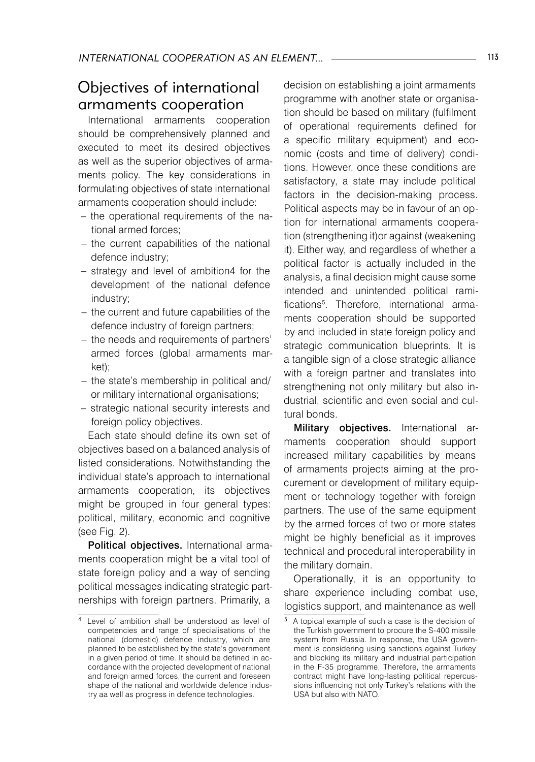# Objectives of international armaments cooperation

International armaments cooperation should be comprehensively planned and executed to meet its desired objectives as well as the superior objectives of armaments policy. The key considerations in formulating objectives of state international armaments cooperation should include:

- the operational requirements of the national armed forces;
- the current capabilities of the national defence industry;
- strategy and level of ambition4 for the development of the national defence industry;
- the current and future capabilities of the defence industry of foreign partners;
- the needs and requirements of partners' armed forces (global armaments market);
- the state's membership in political and/ or military international organisations;
- strategic national security interests and foreign policy objectives.

Each state should define its own set of objectives based on a balanced analysis of listed considerations. Notwithstanding the individual state's approach to international armaments cooperation, its objectives might be grouped in four general types: political, military, economic and cognitive (see Fig. 2).

Political objectives. International armaments cooperation might be a vital tool of state foreign policy and a way of sending political messages indicating strategic partnerships with foreign partners. Primarily, a

decision on establishing a joint armaments programme with another state or organisation should be based on military (fulfilment of operational requirements defined for a specific military equipment) and economic (costs and time of delivery) conditions. However, once these conditions are satisfactory, a state may include political factors in the decision-making process. Political aspects may be in favour of an option for international armaments cooperation (strengthening it)or against (weakening it). Either way, and regardless of whether a political factor is actually included in the analysis, a final decision might cause some intended and unintended political ramifications . Therefore, international armaments cooperation should be supported by and included in state foreign policy and strategic communication blueprints. It is a tangible sign of a close strategic alliance with a foreign partner and translates into strengthening not only military but also industrial, scientific and even social and cultural bonds.

Military objectives. International armaments cooperation should support increased military capabilities by means of armaments projects aiming at the procurement or development of military equipment or technology together with foreign partners. The use of the same equipment by the armed forces of two or more states might be highly beneficial as it improves technical and procedural interoperability in the military domain.

Operationally, it is an opportunity to share experience including combat use, logistics support, and maintenance as well

Level of ambition shall be understood as level of competencies and range of specialisations of the national (domestic) defence industry, which are planned to be established by the state's government in a given period of time. It should be defined in accordance with the projected development of national and foreign armed forces, the current and foreseen shape of the national and worldwide defence industry aa well as progress in defence technologies.

A topical example of such a case is the decision of the Turkish government to procure the S-400 missile system from Russia. In response, the USA government is considering using sanctions against Turkey and blocking its military and industrial participation in the F-35 programme. Therefore, the armaments contract might have long-lasting political repercussions influencing not only Turkey's relations with the USA but also with NATO.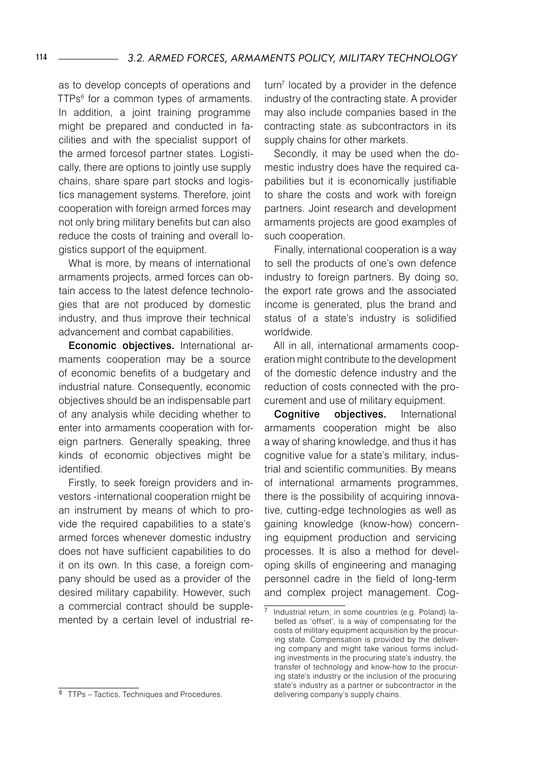as to develop concepts of operations and TTPs<sup>6</sup> for a common types of armaments. In addition, a joint training programme might be prepared and conducted in facilities and with the specialist support of the armed forcesof partner states. Logistically, there are options to jointly use supply chains, share spare part stocks and logistics management systems. Therefore, joint cooperation with foreign armed forces may not only bring military benefits but can also reduce the costs of training and overall logistics support of the equipment.

What is more, by means of international armaments projects, armed forces can obtain access to the latest defence technologies that are not produced by domestic industry, and thus improve their technical advancement and combat capabilities.

Economic objectives. International armaments cooperation may be a source of economic benefits of a budgetary and industrial nature. Consequently, economic objectives should be an indispensable part of any analysis while deciding whether to enter into armaments cooperation with foreign partners. Generally speaking, three kinds of economic objectives might be identified.

Firstly, to seek foreign providers and investors -international cooperation might be an instrument by means of which to provide the required capabilities to a state's armed forces whenever domestic industry does not have sufficient capabilities to do it on its own. In this case, a foreign company should be used as a provider of the desired military capability. However, such a commercial contract should be supplemented by a certain level of industrial re $turn<sup>7</sup>$  located by a provider in the defence industry of the contracting state. A provider may also include companies based in the contracting state as subcontractors in its supply chains for other markets.

Secondly, it may be used when the domestic industry does have the required capabilities but it is economically justifiable to share the costs and work with foreign partners. Joint research and development armaments projects are good examples of such cooperation.

Finally, international cooperation is a way to sell the products of one's own defence industry to foreign partners. By doing so, the export rate grows and the associated income is generated, plus the brand and status of a state's industry is solidified worldwide.

All in all, international armaments cooperation might contribute to the development of the domestic defence industry and the reduction of costs connected with the procurement and use of military equipment.

Cognitive objectives. International armaments cooperation might be also a way of sharing knowledge, and thus it has cognitive value for a state's military, industrial and scientific communities. By means of international armaments programmes, there is the possibility of acquiring innovative, cutting-edge technologies as well as gaining knowledge (know-how) concerning equipment production and servicing processes. It is also a method for developing skills of engineering and managing personnel cadre in the field of long-term and complex project management. Cog-

 $\frac{1}{7}$  Industrial return, in some countries (e.g. Poland) labelled as 'offset', is a way of compensating for the costs of military equipment acquisition by the procuring state. Compensation is provided by the delivering company and might take various forms including investments in the procuring state's industry, the transfer of technology and know-how to the procuring state's industry or the inclusion of the procuring state's industry as a partner or subcontractor in the delivering company's supply chains.

<sup>&</sup>lt;sup>6</sup> TTPs – Tactics, Techniques and Procedures.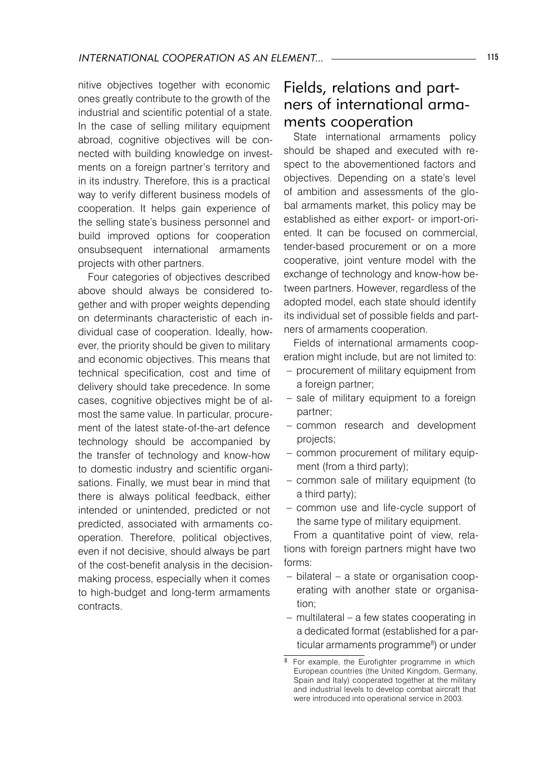nitive objectives together with economic ones greatly contribute to the growth of the industrial and scientific potential of a state. In the case of selling military equipment abroad, cognitive objectives will be connected with building knowledge on investments on a foreign partner's territory and in its industry. Therefore, this is a practical way to verify different business models of cooperation. It helps gain experience of the selling state's business personnel and build improved options for cooperation onsubsequent international armaments projects with other partners.

Four categories of objectives described above should always be considered together and with proper weights depending on determinants characteristic of each individual case of cooperation. Ideally, however, the priority should be given to military and economic objectives. This means that technical specification, cost and time of delivery should take precedence. In some cases, cognitive objectives might be of almost the same value. In particular, procurement of the latest state-of-the-art defence technology should be accompanied by the transfer of technology and know-how to domestic industry and scientific organisations. Finally, we must bear in mind that there is always political feedback, either intended or unintended, predicted or not predicted, associated with armaments cooperation. Therefore, political objectives, even if not decisive, should always be part of the cost-benefit analysis in the decisionmaking process, especially when it comes to high-budget and long-term armaments contracts.

# Fields, relations and partners of international armaments cooperation

State international armaments policy should be shaped and executed with respect to the abovementioned factors and objectives. Depending on a state's level of ambition and assessments of the global armaments market, this policy may be established as either export- or import-oriented. It can be focused on commercial, tender-based procurement or on a more cooperative, joint venture model with the exchange of technology and know-how between partners. However, regardless of the adopted model, each state should identify its individual set of possible fields and partners of armaments cooperation.

Fields of international armaments cooperation might include, but are not limited to:

- procurement of military equipment from a foreign partner;
- sale of military equipment to a foreign partner;
- common research and development projects;
- common procurement of military equip-– ment (from a third party);
- common sale of military equipment (to a third party);
- common use and life-cycle support of the same type of military equipment.

From a quantitative point of view, relations with foreign partners might have two forms:

- bilateral a state or organisation cooperating with another state or organisation;
- multilateral a few states cooperating in –a dedicated format (established for a particular armaments programme<sup>8</sup>) or under

 $\overline{8}$  For example, the Eurofighter programme in which European countries (the United Kingdom, Germany, Spain and Italy) cooperated together at the military and industrial levels to develop combat aircraft that were introduced into operational service in 2003.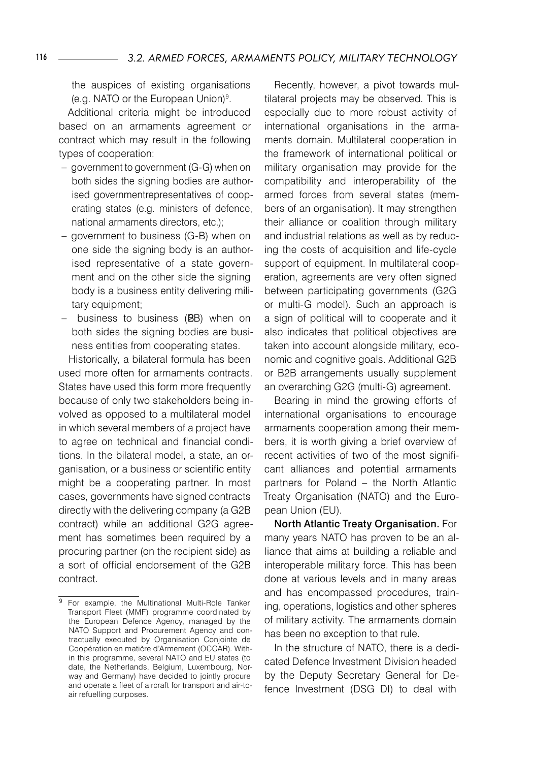the auspices of existing organisations (e.g. NATO or the European Union) .

Additional criteria might be introduced based on an armaments agreement or contract which may result in the following types of cooperation:

- government to government (G-G) when on both sides the signing bodies are authorised governmentrepresentatives of cooperating states (e.g. ministers of defence, national armaments directors, etc.);
- government to business (G-B) when on one side the signing body is an authorised representative of a state government and on the other side the signing body is a business entity delivering military equipment;
- business to business (BB) when on both sides the signing bodies are business entities from cooperating states.

Historically, a bilateral formula has been used more often for armaments contracts. States have used this form more frequently because of only two stakeholders being involved as opposed to a multilateral model in which several members of a project have to agree on technical and financial conditions. In the bilateral model, a state, an organisation, or a business or scientific entity might be a cooperating partner. In most cases, governments have signed contracts directly with the delivering company (a G2B contract) while an additional G2G agreement has sometimes been required by a procuring partner (on the recipient side) as a sort of official endorsement of the G2B contract.

Recently, however, a pivot towards multilateral projects may be observed. This is especially due to more robust activity of international organisations in the armaments domain. Multilateral cooperation in the framework of international political or military organisation may provide for the compatibility and interoperability of the armed forces from several states (members of an organisation). It may strengthen their alliance or coalition through military and industrial relations as well as by reducing the costs of acquisition and life-cycle support of equipment. In multilateral cooperation, agreements are very often signed between participating governments (G2G or multi-G model). Such an approach is a sign of political will to cooperate and it also indicates that political objectives are taken into account alongside military, economic and cognitive goals. Additional G2B or B2B arrangements usually supplement an overarching G2G (multi-G) agreement.

Bearing in mind the growing efforts of international organisations to encourage armaments cooperation among their members, it is worth giving a brief overview of recent activities of two of the most significant alliances and potential armaments partners for Poland – the North Atlantic Treaty Organisation (NATO) and the European Union (EU).

North Atlantic Treaty Organisation. For many years NATO has proven to be an alliance that aims at building a reliable and interoperable military force. This has been done at various levels and in many areas and has encompassed procedures, training, operations, logistics and other spheres of military activity. The armaments domain has been no exception to that rule.

In the structure of NATO, there is a dedicated Defence Investment Division headed by the Deputy Secretary General for Defence Investment (DSG DI) to deal with

 $\overline{9}$  For example, the Multinational Multi-Role Tanker Transport Fleet (MMF) programme coordinated by the European Defence Agency, managed by the NATO Support and Procurement Agency and contractually executed by Organisation Conjointe de Coopération en matičre d'Armement (OCCAR). Within this programme, several NATO and EU states (to date, the Netherlands, Belgium, Luxembourg, Norway and Germany) have decided to jointly procure and operate a fleet of aircraft for transport and air-toair refuelling purposes.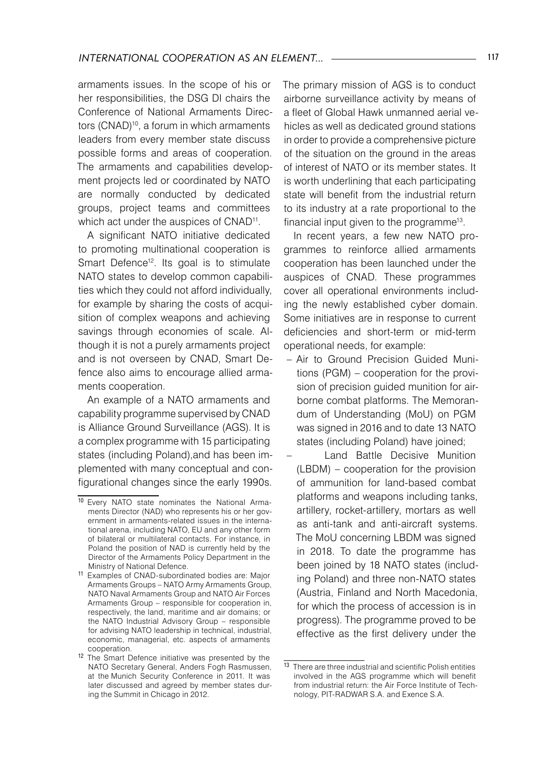armaments issues. In the scope of his or her responsibilities, the DSG DI chairs the Conference of National Armaments Directors (CNAD)<sup>10</sup>, a forum in which armaments leaders from every member state discuss possible forms and areas of cooperation. The armaments and capabilities development projects led or coordinated by NATO are normally conducted by dedicated groups, project teams and committees which act under the auspices of CNAD<sup>11</sup>.

A significant NATO initiative dedicated to promoting multinational cooperation is Smart Defence<sup>12</sup>. Its goal is to stimulate NATO states to develop common capabilities which they could not afford individually, for example by sharing the costs of acquisition of complex weapons and achieving savings through economies of scale. Although it is not a purely armaments project and is not overseen by CNAD, Smart Defence also aims to encourage allied armaments cooperation.

An example of a NATO armaments and capability programme supervised by CNAD is Alliance Ground Surveillance (AGS). It is a complex programme with 15 participating states (including Poland),and has been implemented with many conceptual and configurational changes since the early 1990s.

The primary mission of AGS is to conduct airborne surveillance activity by means of a fleet of Global Hawk unmanned aerial vehicles as well as dedicated ground stations in order to provide a comprehensive picture of the situation on the ground in the areas of interest of NATO or its member states. It is worth underlining that each participating state will benefit from the industrial return to its industry at a rate proportional to the financial input given to the programme<sup>13</sup>.

In recent years, a few new NATO programmes to reinforce allied armaments cooperation has been launched under the auspices of CNAD. These programmes cover all operational environments including the newly established cyber domain. Some initiatives are in response to current deficiencies and short-term or mid-term operational needs, for example:

Air to Ground Precision Guided Muni-– tions (PGM) – cooperation for the provision of precision guided munition for airborne combat platforms. The Memorandum of Understanding (MoU) on PGM was signed in 2016 and to date 13 NATO states (including Poland) have joined;

–

Land Battle Decisive Munition (LBDM) – cooperation for the provision of ammunition for land-based combat platforms and weapons including tanks, artillery, rocket-artillery, mortars as well as anti-tank and anti-aircraft systems. The MoU concerning LBDM was signed in 2018. To date the programme has been joined by 18 NATO states (including Poland) and three non-NATO states (Austria, Finland and North Macedonia, for which the process of accession is in progress). The programme proved to be effective as the first delivery under the

<sup>10</sup> Every NATO state nominates the National Armaments Director (NAD) who represents his or her government in armaments-related issues in the international arena, including NATO, EU and any other form of bilateral or multilateral contacts. For instance, in Poland the position of NAD is currently held by the Director of the Armaments Policy Department in the Ministry of National Defence.

<sup>11</sup> Examples of CNAD-subordinated bodies are: Major Armaments Groups – NATO Army Armaments Group, NATO Naval Armaments Group and NATO Air Forces Armaments Group – responsible for cooperation in, respectively, the land, maritime and air domains; or the NATO Industrial Advisory Group – responsible for advising NATO leadership in technical, industrial, economic, managerial, etc. aspects of armaments cooperation.

<sup>12</sup> The Smart Defence initiative was presented by the NATO Secretary General, Anders Fogh Rasmussen, at the Munich Security Conference in 2011. It was later discussed and agreed by member states during the Summit in Chicago in 2012.

<sup>13</sup> There are three industrial and scientific Polish entities involved in the AGS programme which will benefit from industrial return: the Air Force Institute of Technology, PIT-RADWAR S.A. and Exence S.A.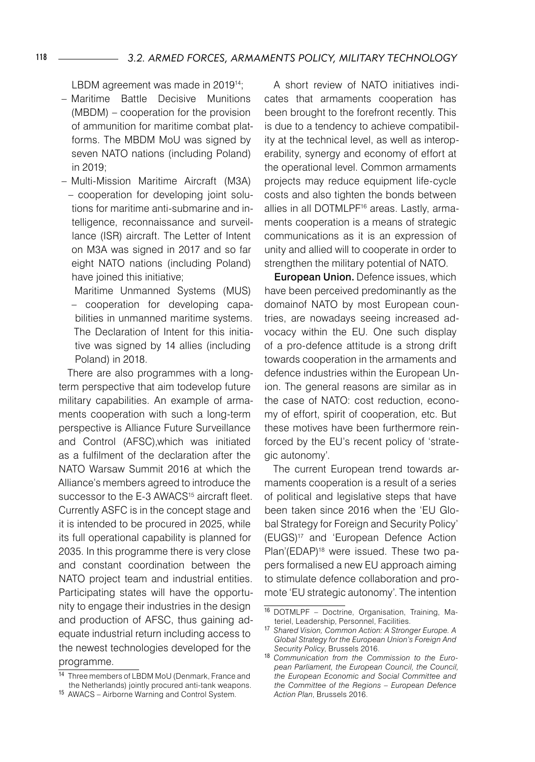LBDM agreement was made in 201914 ;

- Maritime Battle Decisive Munitions (MBDM) – cooperation for the provision of ammunition for maritime combat platforms. The MBDM MoU was signed by seven NATO nations (including Poland) in 2019;
- Multi-Mission Maritime Aircraft (M3A) – cooperation for developing joint solutions for maritime anti-submarine and intelligence, reconnaissance and surveillance (ISR) aircraft. The Letter of Intent on M3A was signed in 2017 and so far eight NATO nations (including Poland) have joined this initiative;

Maritime Unmanned Systems (MUS) – cooperation for developing capabilities in unmanned maritime systems. The Declaration of Intent for this initiative was signed by 14 allies (including Poland) in 2018.

There are also programmes with a longterm perspective that aim todevelop future military capabilities. An example of armaments cooperation with such a long-term perspective is Alliance Future Surveillance and Control (AFSC),which was initiated as a fulfilment of the declaration after the NATO Warsaw Summit 2016 at which the Alliance's members agreed to introduce the successor to the E-3 AWACS<sup>15</sup> aircraft fleet. Currently ASFC is in the concept stage and it is intended to be procured in 2025, while its full operational capability is planned for 2035. In this programme there is very close and constant coordination between the NATO project team and industrial entities. Participating states will have the opportunity to engage their industries in the design and production of AFSC, thus gaining adequate industrial return including access to the newest technologies developed for the programme.

A short review of NATO initiatives indicates that armaments cooperation has been brought to the forefront recently. This is due to a tendency to achieve compatibility at the technical level, as well as interoperability, synergy and economy of effort at the operational level. Common armaments projects may reduce equipment life-cycle costs and also tighten the bonds between allies in all DOTMLPF16 areas. Lastly, armaments cooperation is a means of strategic communications as it is an expression of unity and allied will to cooperate in order to strengthen the military potential of NATO.

European Union. Defence issues, which have been perceived predominantly as the domainof NATO by most European countries, are nowadays seeing increased advocacy within the EU. One such display of a pro-defence attitude is a strong drift towards cooperation in the armaments and defence industries within the European Union. The general reasons are similar as in the case of NATO: cost reduction, economy of effort, spirit of cooperation, etc. But these motives have been furthermore reinforced by the EU's recent policy of 'strategic autonomy'.

The current European trend towards armaments cooperation is a result of a series of political and legislative steps that have been taken since 2016 when the 'EU Global Strategy for Foreign and Security Policy' (EUGS)17 and 'European Defence Action Plan'(EDAP)<sup>18</sup> were issued. These two papers formalised a new EU approach aiming to stimulate defence collaboration and promote 'EU strategic autonomy'. The intention

<sup>14</sup> Three members of LBDM MoU (Denmark, France and the Netherlands) jointly procured anti-tank weapons.

<sup>15</sup> AWACS – Airborne Warning and Control System.

<sup>16</sup> DOTMLPF – Doctrine, Organisation, Training, Materiel, Leadership, Personnel, Facilities.

<sup>17</sup> *Shared Vision, Common Action: A Stronger Europe. A Global Strategy for the European Union's Foreign And Security Policy*, Brussels 2016.

<sup>18</sup> *Communication from the Commission to the European Parliament, the European Council, the Council, the European Economic and Social Committee and the Committee of the Regions – European Defence Action Plan*, Brussels 2016.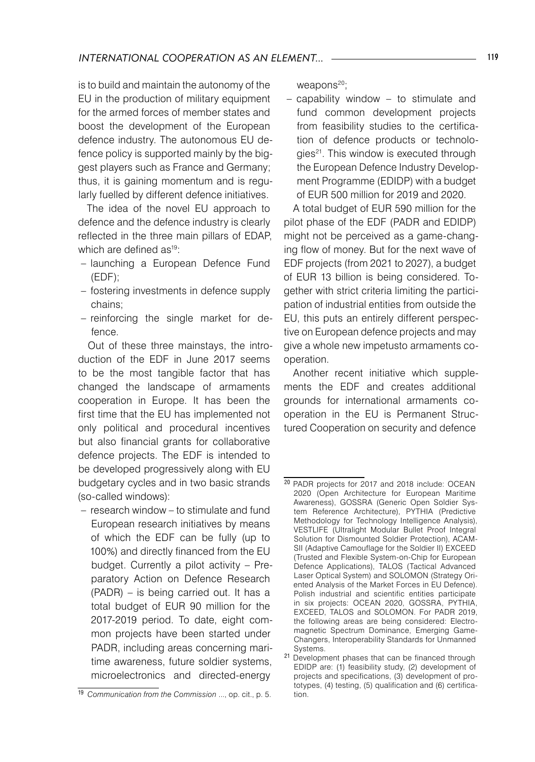is to build and maintain the autonomy of the EU in the production of military equipment for the armed forces of member states and boost the development of the European defence industry. The autonomous EU defence policy is supported mainly by the biggest players such as France and Germany; thus, it is gaining momentum and is regularly fuelled by different defence initiatives.

The idea of the novel EU approach to defence and the defence industry is clearly reflected in the three main pillars of EDAP, which are defined as<sup>19</sup>:

- launching a European Defence Fund (EDF);
- fostering investments in defence supply chains;
- reinforcing the single market for defence.

Out of these three mainstays, the introduction of the EDF in June 2017 seems to be the most tangible factor that has changed the landscape of armaments cooperation in Europe. It has been the first time that the EU has implemented not only political and procedural incentives but also financial grants for collaborative defence projects. The EDF is intended to be developed progressively along with EU budgetary cycles and in two basic strands (so-called windows):

– research window – to stimulate and fund European research initiatives by means of which the EDF can be fully (up to 100%) and directly financed from the EU budget. Currently a pilot activity – Preparatory Action on Defence Research (PADR) – is being carried out. It has a total budget of EUR 90 million for the 2017-2019 period. To date, eight common projects have been started under PADR, including areas concerning maritime awareness, future soldier systems, microelectronics and directed-energy

weapons<sup>20</sup>;

 $-$  capability window  $-$  to stimulate and fund common development projects from feasibility studies to the certification of defence products or technologies<sup>21</sup>. This window is executed through the European Defence Industry Development Programme (EDIDP) with a budget of EUR 500 million for 2019 and 2020.

A total budget of EUR 590 million for the pilot phase of the EDF (PADR and EDIDP) might not be perceived as a game-changing flow of money. But for the next wave of EDF projects (from 2021 to 2027), a budget of EUR 13 billion is being considered. Together with strict criteria limiting the participation of industrial entities from outside the EU, this puts an entirely different perspective on European defence projects and may give a whole new impetusto armaments cooperation.

Another recent initiative which supplements the EDF and creates additional grounds for international armaments cooperation in the EU is Permanent Structured Cooperation on security and defence

<sup>19</sup> *Communication from the Commission* ..., op. cit., p. 5.

<sup>20</sup> PADR projects for 2017 and 2018 include: OCEAN 2020 (Open Architecture for European Maritime Awareness), GOSSRA (Generic Open Soldier System Reference Architecture), PYTHIA (Predictive Methodology for Technology Intelligence Analysis), VESTLIFE (Ultralight Modular Bullet Proof Integral Solution for Dismounted Soldier Protection), ACAM-SII (Adaptive Camouflage for the Soldier II) EXCEED (Trusted and Flexible System-on-Chip for European Defence Applications), TALOS (Tactical Advanced Laser Optical System) and SOLOMON (Strategy Oriented Analysis of the Market Forces in EU Defence). Polish industrial and scientific entities participate in six projects: OCEAN 2020, GOSSRA, PYTHIA, EXCEED, TALOS and SOLOMON. For PADR 2019, the following areas are being considered: Electromagnetic Spectrum Dominance, Emerging Game-Changers, Interoperability Standards for Unmanned Systems.

<sup>21</sup> Development phases that can be financed through EDIDP are: (1) feasibility study, (2) development of projects and specifications, (3) development of prototypes, (4) testing, (5) qualification and (6) certification.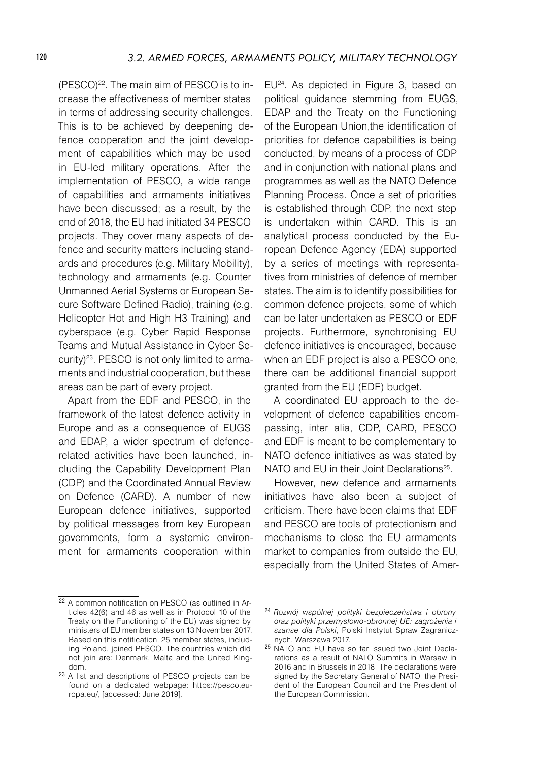(PESCO)<sup>22</sup>. The main aim of PESCO is to increase the effectiveness of member states in terms of addressing security challenges. This is to be achieved by deepening defence cooperation and the joint development of capabilities which may be used in EU-led military operations. After the implementation of PESCO, a wide range of capabilities and armaments initiatives have been discussed; as a result, by the end of 2018, the EU had initiated 34 PESCO projects. They cover many aspects of defence and security matters including standards and procedures (e.g. Military Mobility), technology and armaments (e.g. Counter Unmanned Aerial Systems or European Secure Software Defined Radio), training (e.g. Helicopter Hot and High H3 Training) and cyberspace (e.g. Cyber Rapid Response Teams and Mutual Assistance in Cyber Security)23 . PESCO is not only limited to armaments and industrial cooperation, but these areas can be part of every project.

Apart from the EDF and PESCO, in the framework of the latest defence activity in Europe and as a consequence of EUGS and EDAP, a wider spectrum of defencerelated activities have been launched, including the Capability Development Plan (CDP) and the Coordinated Annual Review on Defence (CARD). A number of new European defence initiatives, supported by political messages from key European governments, form a systemic environment for armaments cooperation within

EU24. As depicted in Figure 3, based on political guidance stemming from EUGS, EDAP and the Treaty on the Functioning of the European Union,the identification of priorities for defence capabilities is being conducted, by means of a process of CDP and in conjunction with national plans and programmes as well as the NATO Defence Planning Process. Once a set of priorities is established through CDP, the next step is undertaken within CARD. This is an analytical process conducted by the European Defence Agency (EDA) supported by a series of meetings with representatives from ministries of defence of member states. The aim is to identify possibilities for common defence projects, some of which can be later undertaken as PESCO or EDF projects. Furthermore, synchronising EU defence initiatives is encouraged, because when an EDF project is also a PESCO one, there can be additional financial support granted from the EU (EDF) budget.

A coordinated EU approach to the development of defence capabilities encompassing, inter alia, CDP, CARD, PESCO and EDF is meant to be complementary to NATO defence initiatives as was stated by NATO and EU in their Joint Declarations<sup>25</sup>.

However, new defence and armaments initiatives have also been a subject of criticism. There have been claims that EDF and PESCO are tools of protectionism and mechanisms to close the EU armaments market to companies from outside the EU, especially from the United States of Amer-

<sup>22</sup> A common notification on PESCO (as outlined in Articles 42(6) and 46 as well as in Protocol 10 of the Treaty on the Functioning of the EU) was signed by ministers of EU member states on 13 November 2017. Based on this notification, 25 member states, including Poland, joined PESCO. The countries which did not join are: Denmark, Malta and the United Kingdom.

<sup>23</sup> A list and descriptions of PESCO projects can be found on a dedicated webpage: https://pesco.europa.eu/, [accessed: June 2019].

<sup>24</sup> *Rozwój wspólnej polityki bezpieczeństwa i obrony oraz polityki przemysłowo-obronnej UE: zagrożenia i szanse dla Polski*, Polski Instytut Spraw Zagranicznych, Warszawa 2017.

<sup>25</sup> NATO and EU have so far issued two Joint Declarations as a result of NATO Summits in Warsaw in 2016 and in Brussels in 2018. The declarations were signed by the Secretary General of NATO, the President of the European Council and the President of the European Commission.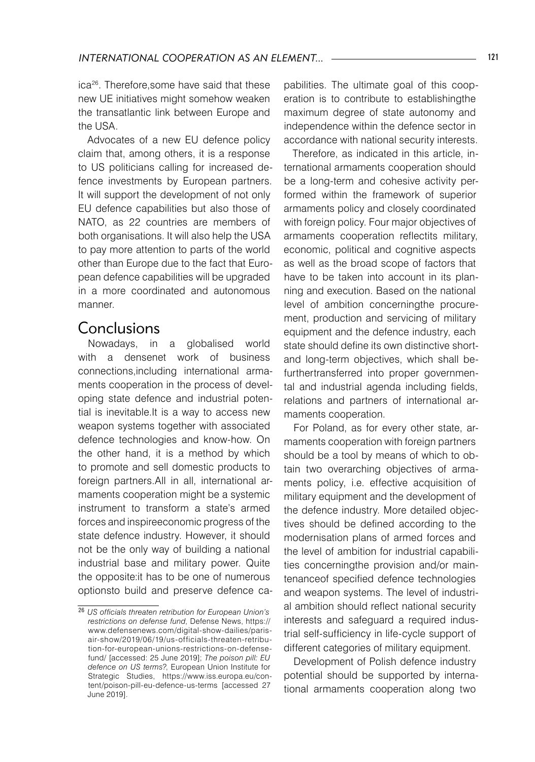ica26 . Therefore,some have said that these new UE initiatives might somehow weaken the transatlantic link between Europe and the USA.

Advocates of a new EU defence policy claim that, among others, it is a response to US politicians calling for increased defence investments by European partners. It will support the development of not only EU defence capabilities but also those of NATO, as 22 countries are members of both organisations. It will also help the USA to pay more attention to parts of the world other than Europe due to the fact that European defence capabilities will be upgraded in a more coordinated and autonomous manner.

### Conclusions

Nowadays, in a globalised world with a densenet work of business connections,including international armaments cooperation in the process of developing state defence and industrial potential is inevitable.It is a way to access new weapon systems together with associated defence technologies and know-how. On the other hand, it is a method by which to promote and sell domestic products to foreign partners.All in all, international armaments cooperation might be a systemic instrument to transform a state's armed forces and inspireeconomic progress of the state defence industry. However, it should not be the only way of building a national industrial base and military power. Quite the opposite:it has to be one of numerous optionsto build and preserve defence capabilities. The ultimate goal of this cooperation is to contribute to establishingthe maximum degree of state autonomy and independence within the defence sector in accordance with national security interests.

Therefore, as indicated in this article, international armaments cooperation should be a long-term and cohesive activity performed within the framework of superior armaments policy and closely coordinated with foreign policy. Four major objectives of armaments cooperation reflectits military, economic, political and cognitive aspects as well as the broad scope of factors that have to be taken into account in its planning and execution. Based on the national level of ambition concerningthe procurement, production and servicing of military equipment and the defence industry, each state should define its own distinctive shortand long-term objectives, which shall befurthertransferred into proper governmental and industrial agenda including fields, relations and partners of international armaments cooperation.

For Poland, as for every other state, armaments cooperation with foreign partners should be a tool by means of which to obtain two overarching objectives of armaments policy, i.e. effective acquisition of military equipment and the development of the defence industry. More detailed objectives should be defined according to the modernisation plans of armed forces and the level of ambition for industrial capabilities concerningthe provision and/or maintenanceof specified defence technologies and weapon systems. The level of industrial ambition should reflect national security interests and safeguard a required industrial self-sufficiency in life-cycle support of different categories of military equipment.

Development of Polish defence industry potential should be supported by international armaments cooperation along two

<sup>26</sup> *US officials threaten retribution for European Union's restrictions on defense fund*, Defense News, https:// www.defensenews.com/digital-show-dailies/parisair-show/2019/06/19/us-officials-threaten-retribution-for-european-unions-restrictions-on-defensefund/ [accessed: 25 June 2019]; *The poison pill: EU defence on US terms?*, European Union Institute for Strategic Studies, https://www.iss.europa.eu/content/poison-pill-eu-defence-us-terms [accessed 27 June 2019].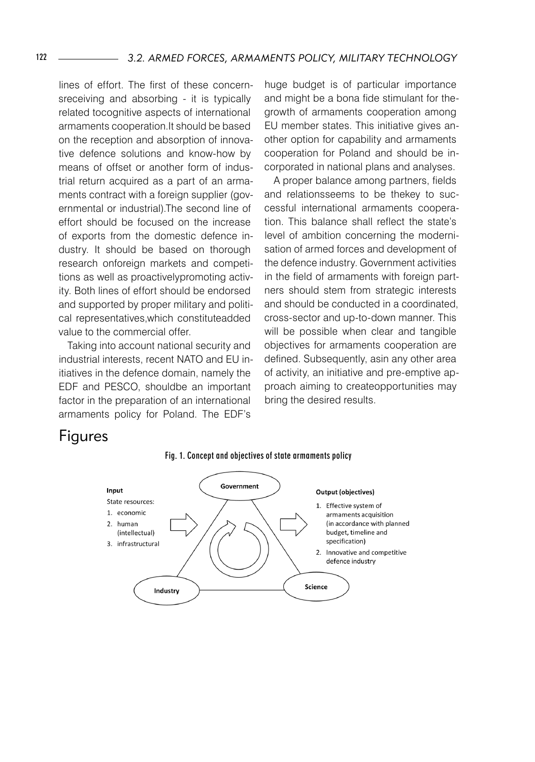lines of effort. The first of these concernsreceiving and absorbing - it is typically related tocognitive aspects of international armaments cooperation.It should be based on the reception and absorption of innovative defence solutions and know-how by means of offset or another form of industrial return acquired as a part of an armaments contract with a foreign supplier (governmental or industrial).The second line of effort should be focused on the increase of exports from the domestic defence industry. It should be based on thorough research onforeign markets and competitions as well as proactivelypromoting activity. Both lines of effort should be endorsed and supported by proper military and political representatives,which constituteadded value to the commercial offer.

Taking into account national security and industrial interests, recent NATO and EU initiatives in the defence domain, namely the EDF and PESCO, shouldbe an important factor in the preparation of an international armaments policy for Poland. The EDF's

huge budget is of particular importance and might be a bona fide stimulant for thegrowth of armaments cooperation among EU member states. This initiative gives another option for capability and armaments cooperation for Poland and should be incorporated in national plans and analyses.

A proper balance among partners, fields and relationsseems to be thekey to successful international armaments cooperation. This balance shall reflect the state's level of ambition concerning the modernisation of armed forces and development of the defence industry. Government activities in the field of armaments with foreign partners should stem from strategic interests and should be conducted in a coordinated, cross-sector and up-to-down manner. This will be possible when clear and tangible objectives for armaments cooperation are defined. Subsequently, asin any other area of activity, an initiative and pre-emptive approach aiming to createopportunities may bring the desired results.

# Figures



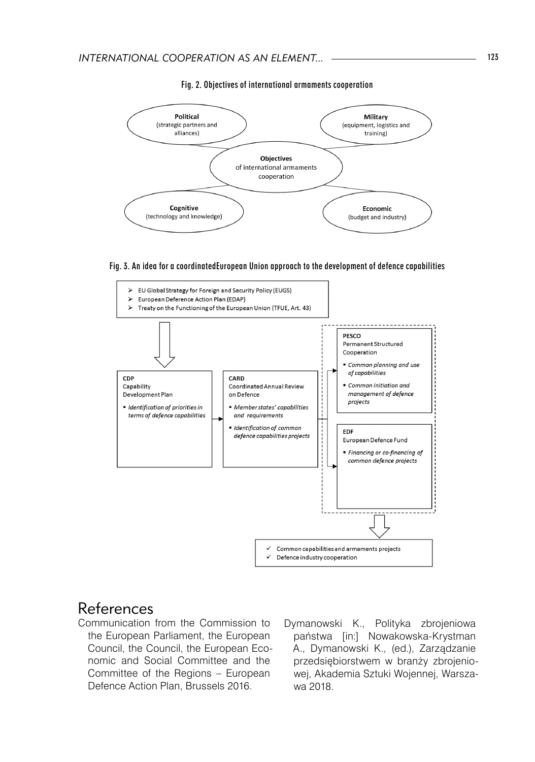

#### Fig. 2. Objectives of international armaments cooperation

Fig. 3. An idea for a coordinatedEuropean Union approach to the development of defence capabilities



### References

Communication from the Commission to the European Parliament, the European Council, the Council, the European Economic and Social Committee and the Committee of the Regions – European Defence Action Plan, Brussels 2016.

Dymanowski K., Polityka zbrojeniowa państwa [in:] Nowakowska-Krystman A., Dymanowski K., (ed.), Zarządzanie przedsiębiorstwem w branży zbrojeniowej, Akademia Sztuki Wojennej, Warszawa 2018.